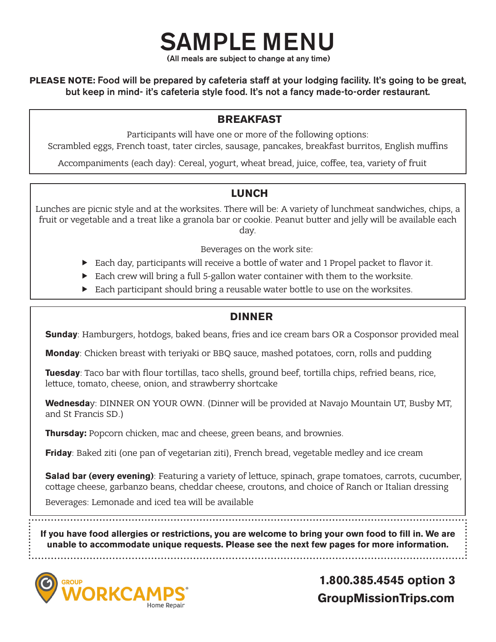(All meals are subject to change at any time)

SAMPLE MENU

**PLEASE NOTE:** Food will be prepared by cafeteria staff at your lodging facility. It's going to be great, but keep in mind- it's cafeteria style food. It's not a fancy made-to-order restaurant.

#### **BREAKFAST**

Participants will have one or more of the following options:

Scrambled eggs, French toast, tater circles, sausage, pancakes, breakfast burritos, English muffins

Accompaniments (each day): Cereal, yogurt, wheat bread, juice, coffee, tea, variety of fruit

#### **LUNCH**

Lunches are picnic style and at the worksites. There will be: A variety of lunchmeat sandwiches, chips, a fruit or vegetable and a treat like a granola bar or cookie. Peanut butter and jelly will be available each day.

Beverages on the work site:

- Each day, participants will receive a bottle of water and 1 Propel packet to flavor it.
- $\blacktriangleright$  Each crew will bring a full 5-gallon water container with them to the worksite.
- $\blacktriangleright$  Each participant should bring a reusable water bottle to use on the worksites.

#### **DINNER**

**Sunday**: Hamburgers, hotdogs, baked beans, fries and ice cream bars OR a Cosponsor provided meal

**Monday**: Chicken breast with teriyaki or BBQ sauce, mashed potatoes, corn, rolls and pudding

**Tuesday**: Taco bar with flour tortillas, taco shells, ground beef, tortilla chips, refried beans, rice, lettuce, tomato, cheese, onion, and strawberry shortcake

**Wednesda**y: DINNER ON YOUR OWN. (Dinner will be provided at Navajo Mountain UT, Busby MT, and St Francis SD.)

**Thursday:** Popcorn chicken, mac and cheese, green beans, and brownies.

**Friday**: Baked ziti (one pan of vegetarian ziti), French bread, vegetable medley and ice cream

**Salad bar (every evening)**: Featuring a variety of lettuce, spinach, grape tomatoes, carrots, cucumber, cottage cheese, garbanzo beans, cheddar cheese, croutons, and choice of Ranch or Italian dressing

Beverages: Lemonade and iced tea will be available

**If you have food allergies or restrictions, you are welcome to bring your own food to fill in. We are unable to accommodate unique requests. Please see the next few pages for more information.**

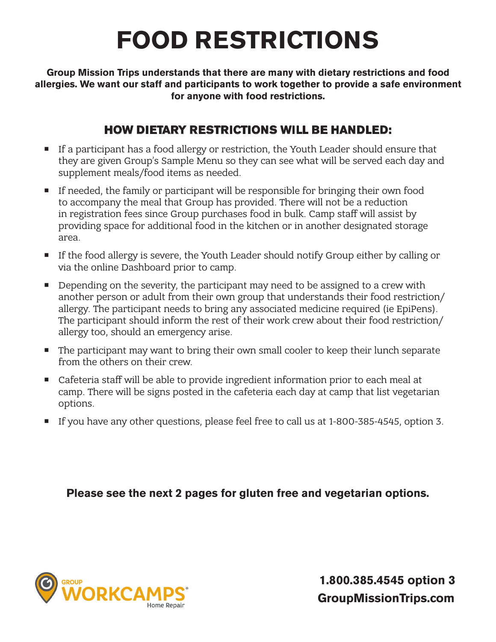# **FOOD RESTRICTIONS**

**Group Mission Trips understands that there are many with dietary restrictions and food allergies. We want our staff and participants to work together to provide a safe environment for anyone with food restrictions.** 

### **HOW DIETARY RESTRICTIONS WILL BE HANDLED:**

- **If a participant has a food allergy or restriction, the Youth Leader should ensure that** they are given Group's Sample Menu so they can see what will be served each day and supplement meals/food items as needed.
- **If needed, the family or participant will be responsible for bringing their own food** to accompany the meal that Group has provided. There will not be a reduction in registration fees since Group purchases food in bulk. Camp staff will assist by providing space for additional food in the kitchen or in another designated storage area.
- If the food allergy is severe, the Youth Leader should notify Group either by calling or via the online Dashboard prior to camp.
- Depending on the severity, the participant may need to be assigned to a crew with another person or adult from their own group that understands their food restriction/ allergy. The participant needs to bring any associated medicine required (ie EpiPens). The participant should inform the rest of their work crew about their food restriction/ allergy too, should an emergency arise.
- The participant may want to bring their own small cooler to keep their lunch separate from the others on their crew.
- Cafeteria staff will be able to provide ingredient information prior to each meal at camp. There will be signs posted in the cafeteria each day at camp that list vegetarian options.
- If you have any other questions, please feel free to call us at 1-800-385-4545, option 3.

**Please see the next 2 pages for gluten free and vegetarian options.**

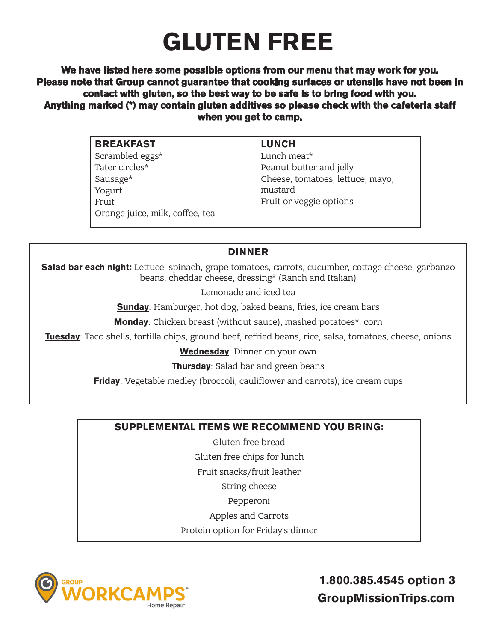### **GLUTEN FREE**

**We have listed here some possible options from our menu that may work for you. Please note that Group cannot guarantee that cooking surfaces or utensils have not been in contact with gluten, so the best way to be safe is to bring food with you. Anything marked (\*) may contain gluten additives so please check with the cafeteria staff when you get to camp.** 

| <b>BREAKFAST</b>                | <b>LUNCH</b>                     |
|---------------------------------|----------------------------------|
| Scrambled eggs*                 | Lunch meat*                      |
| Tater circles*                  | Peanut butter and jelly          |
| Sausage*                        | Cheese, tomatoes, lettuce, mayo, |
| Yogurt                          | mustard                          |
| Fruit                           | Fruit or veggie options          |
| Orange juice, milk, coffee, tea |                                  |

#### **DINNER**

**Salad bar each night:** Lettuce, spinach, grape tomatoes, carrots, cucumber, cottage cheese, garbanzo beans, cheddar cheese, dressing\* (Ranch and Italian)

Lemonade and iced tea

**Sunday**: Hamburger, hot dog, baked beans, fries, ice cream bars

**Monday**: Chicken breast (without sauce), mashed potatoes\*, corn

**Tuesday**: Taco shells, tortilla chips, ground beef, refried beans, rice, salsa, tomatoes, cheese, onions

**Wednesday**: Dinner on your own

**Thursday**: Salad bar and green beans

**Friday**: Vegetable medley (broccoli, cauliflower and carrots), ice cream cups

#### **SUPPLEMENTAL ITEMS WE RECOMMEND YOU BRING:**

Gluten free bread Gluten free chips for lunch Fruit snacks/fruit leather String cheese Pepperoni

Apples and Carrots

Protein option for Friday's dinner